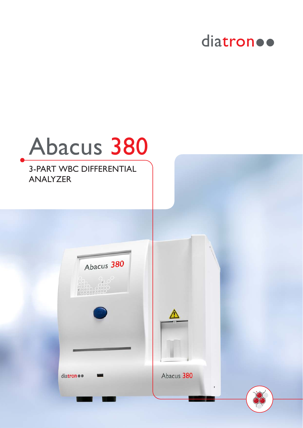

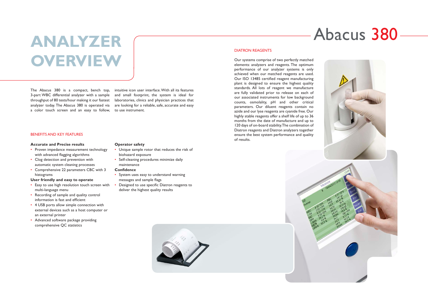# **ANALYZER OVERVIEW**

The Abacus 380 is a compact, bench top, 3-part WBC differential analyzer with a sample throughput of 80 tests/hour making it our fastest analyzer today. The Abacus 380 is operated via a color touch screen and an easy to follow, to use instrument.

intuitive icon user interface. With all its features and small footprint, the system is ideal for laboratories, clinics and physician practices that are looking for a reliable, safe, accurate and easy

- Proven impedance measurement technology with advanced flagging algorithms
- Clog detection and prevention with automatic system cleaning processes
- Comprehensive 22 parameters CBC with 3 histograms

# BENEFITS AND KEY FEATURES

#### **Accurate and Precise results**

- Unique sample rotor that reduces the risk of biohazard exposure
- Self-cleaning procedures minimize daily maintenance

# **User friendly and easy to operate**

- Easy to use high resolution touch screen with multi-language menu
- Recording of sample and quality control information is fast and efficient
- 4 USB ports allow simple connection with external devices such as a host computer or an external printer
- Advanced software package providing comprehensive QC statistics

# **Operator safety**

#### **Confidence**

- System uses easy to understand warning messages and sample flags
- Designed to use specific Diatron reagents to deliver the highest quality results

# DIATRON REAGENTS

Our systems comprise of two perfectly matched elements: analyzers and reagents. The optimum performance of our analyzer systems is only achieved when our matched reagents are used. Our ISO 13485 certified reagent manufacturing plant is designed to ensure the highest quality standards. All lots of reagent we manufacture are fully validated prior to release on each of our associated instruments for low background counts, osmolality, pH and other critical parameters. Our diluent reagents contain no azide and our lyse reagents are cyanide free. Our highly stable reagents offer a shelf life of up to 36 months from the date of manufacture and up to 120 days of on-board stability. The combination of Diatron reagents and Diatron analyzers together ensure the best system performance and quality of results.



# Abacus 380